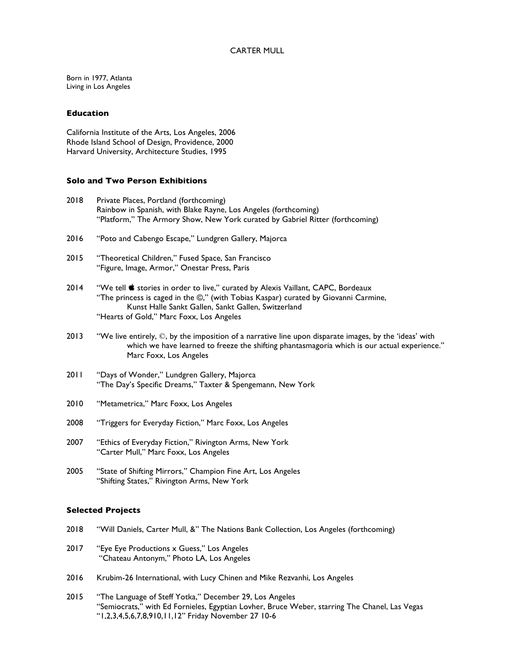# CARTER MULL

Born in 1977, Atlanta Living in Los Angeles

## **Education**

California Institute of the Arts, Los Angeles, 2006 Rhode Island School of Design, Providence, 2000 Harvard University, Architecture Studies, 1995

## **Solo and Two Person Exhibitions**

- 2018 Private Places, Portland (forthcoming) Rainbow in Spanish, with Blake Rayne, Los Angeles (forthcoming) "Platform," The Armory Show, New York curated by Gabriel Ritter (forthcoming)
- 2016 "Poto and Cabengo Escape," Lundgren Gallery, Majorca
- 2015 "Theoretical Children," Fused Space, San Francisco "Figure, Image, Armor," Onestar Press, Paris
- 2014 "We tell stories in order to live," curated by Alexis Vaillant, CAPC, Bordeaux "The princess is caged in the ©," (with Tobias Kaspar) curated by Giovanni Carmine, Kunst Halle Sankt Gallen, Sankt Gallen, Switzerland "Hearts of Gold," Marc Foxx, Los Angeles
- 2013 "We live entirely,  $\mathbb{O}$ , by the imposition of a narrative line upon disparate images, by the 'ideas' with which we have learned to freeze the shifting phantasmagoria which is our actual experience." Marc Foxx, Los Angeles
- 2011 "Days of Wonder," Lundgren Gallery, Majorca "The Day's Specific Dreams," Taxter & Spengemann, New York
- 2010 "Metametrica," Marc Foxx, Los Angeles
- 2008 "Triggers for Everyday Fiction," Marc Foxx, Los Angeles
- 2007 "Ethics of Everyday Fiction," Rivington Arms, New York "Carter Mull," Marc Foxx, Los Angeles
- 2005 "State of Shifting Mirrors," Champion Fine Art, Los Angeles "Shifting States," Rivington Arms, New York

## **Selected Projects**

- 2018 "Will Daniels, Carter Mull, &" The Nations Bank Collection, Los Angeles (forthcoming)
- 2017 "Eye Eye Productions x Guess," Los Angeles "Chateau Antonym," Photo LA, Los Angeles
- 2016 Krubim-26 International, with Lucy Chinen and Mike Rezvanhi, Los Angeles
- 2015 "The Language of Steff Yotka," December 29, Los Angeles "Semiocrats," with Ed Fornieles, Egyptian Lovher, Bruce Weber, starring The Chanel, Las Vegas "1,2,3,4,5,6,7,8,910,11,12" Friday November 27 10-6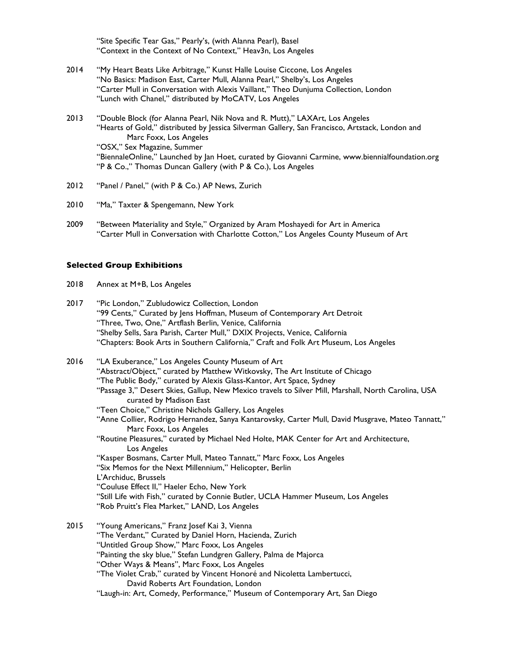"Site Specific Tear Gas," Pearly's, (with Alanna Pearl), Basel "Context in the Context of No Context," Heav3n, Los Angeles

- 2014 "My Heart Beats Like Arbitrage," Kunst Halle Louise Ciccone, Los Angeles "No Basics: Madison East, Carter Mull, Alanna Pearl," Shelby's, Los Angeles "Carter Mull in Conversation with Alexis Vaillant," Theo Dunjuma Collection, London "Lunch with Chanel," distributed by MoCATV, Los Angeles
- 2013 "Double Block (for Alanna Pearl, Nik Nova and R. Mutt)," LAXArt, Los Angeles "Hearts of Gold," distributed by Jessica Silverman Gallery, San Francisco, Artstack, London and Marc Foxx, Los Angeles "OSX," Sex Magazine, Summer "BiennaleOnline," Launched by Jan Hoet, curated by Giovanni Carmine, www.biennialfoundation.org "P & Co.," Thomas Duncan Gallery (with P & Co.), Los Angeles
- 2012 "Panel / Panel," (with P & Co.) AP News, Zurich
- 2010 "Ma," Taxter & Spengemann, New York
- 2009 "Between Materiality and Style," Organized by Aram Moshayedi for Art in America "Carter Mull in Conversation with Charlotte Cotton," Los Angeles County Museum of Art

#### **Selected Group Exhibitions**

- 2018 Annex at M+B, Los Angeles
- 2017 "Pic London," Zubludowicz Collection, London "99 Cents," Curated by Jens Hoffman, Museum of Contemporary Art Detroit "Three, Two, One," Artflash Berlin, Venice, California "Shelby Sells, Sara Parish, Carter Mull," DXIX Projects, Venice, California "Chapters: Book Arts in Southern California," Craft and Folk Art Museum, Los Angeles

2016 "LA Exuberance," Los Angeles County Museum of Art "Abstract/Object," curated by Matthew Witkovsky, The Art Institute of Chicago "The Public Body," curated by Alexis Glass-Kantor, Art Space, Sydney "Passage 3," Desert Skies, Gallup, New Mexico travels to Silver Mill, Marshall, North Carolina, USA curated by Madison East "Teen Choice," Christine Nichols Gallery, Los Angeles "Anne Collier, Rodrigo Hernandez, Sanya Kantarovsky, Carter Mull, David Musgrave, Mateo Tannatt," Marc Foxx, Los Angeles "Routine Pleasures," curated by Michael Ned Holte, MAK Center for Art and Architecture, Los Angeles "Kasper Bosmans, Carter Mull, Mateo Tannatt," Marc Foxx, Los Angeles "Six Memos for the Next Millennium," Helicopter, Berlin L'Archiduc, Brussels "Couluse Effect II," Haeler Echo, New York "Still Life with Fish," curated by Connie Butler, UCLA Hammer Museum, Los Angeles "Rob Pruitt's Flea Market," LAND, Los Angeles

2015 "Young Americans," Franz Josef Kai 3, Vienna "The Verdant," Curated by Daniel Horn, Hacienda, Zurich "Untitled Group Show," Marc Foxx, Los Angeles "Painting the sky blue," Stefan Lundgren Gallery, Palma de Majorca "Other Ways & Means", Marc Foxx, Los Angeles "The Violet Crab," curated by Vincent Honoré and Nicoletta Lambertucci, David Roberts Art Foundation, London "Laugh-in: Art, Comedy, Performance," Museum of Contemporary Art, San Diego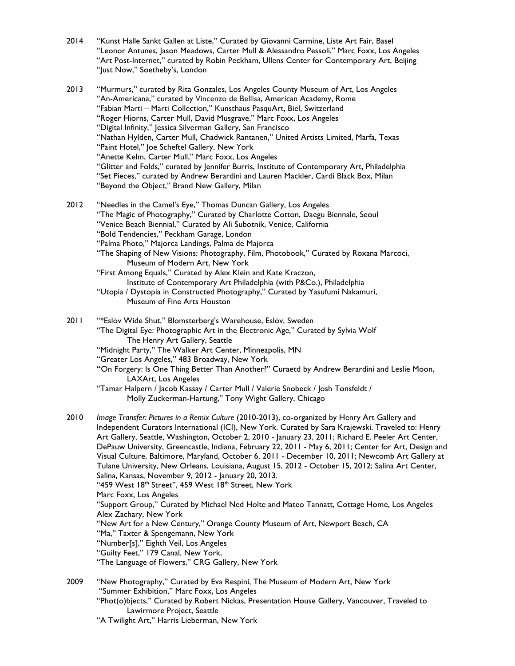| 2014 | "Kunst Halle Sankt Gallen at Liste," Curated by Giovanni Carmine, Liste Art Fair, Basel<br>"Leonor Antunes, Jason Meadows, Carter Mull & Alessandro Pessoli," Marc Foxx, Los Angeles                                                                                                                                                                                                                                                                                                                                                                                                                                                                                                                                                                                                                                                                                                                                                                                                                                                                                                                                          |
|------|-------------------------------------------------------------------------------------------------------------------------------------------------------------------------------------------------------------------------------------------------------------------------------------------------------------------------------------------------------------------------------------------------------------------------------------------------------------------------------------------------------------------------------------------------------------------------------------------------------------------------------------------------------------------------------------------------------------------------------------------------------------------------------------------------------------------------------------------------------------------------------------------------------------------------------------------------------------------------------------------------------------------------------------------------------------------------------------------------------------------------------|
|      | "Art Post-Internet," curated by Robin Peckham, Ullens Center for Contemporary Art, Beijing<br>"Just Now," Soetheby's, London                                                                                                                                                                                                                                                                                                                                                                                                                                                                                                                                                                                                                                                                                                                                                                                                                                                                                                                                                                                                  |
| 2013 | "Murmurs," curated by Rita Gonzales, Los Angeles County Museum of Art, Los Angeles<br>"An-Americana," curated by Vincenzo de Bellisa, American Academy, Rome<br>"Fabian Marti - Marti Collection," Kunsthaus PasquArt, Biel, Switzerland<br>"Roger Hiorns, Carter Mull, David Musgrave," Marc Foxx, Los Angeles<br>"Digital Infinity," Jessica Silverman Gallery, San Francisco<br>"Nathan Hylden, Carter Mull, Chadwick Rantanen," United Artists Limited, Marfa, Texas<br>"Paint Hotel," Joe Scheftel Gallery, New York<br>"Anette Kelm, Carter Mull," Marc Foxx, Los Angeles<br>"Glitter and Folds," curated by Jennifer Burris, Institute of Contemporary Art, Philadelphia<br>"Set Pieces," curated by Andrew Berardini and Lauren Mackler, Cardi Black Box, Milan<br>"Beyond the Object," Brand New Gallery, Milan                                                                                                                                                                                                                                                                                                      |
| 2012 | "Needles in the Camel's Eye," Thomas Duncan Gallery, Los Angeles<br>"The Magic of Photography," Curated by Charlotte Cotton, Daegu Biennale, Seoul<br>"Venice Beach Biennial," Curated by Ali Subotnik, Venice, California<br>"Bold Tendencies," Peckham Garage, London<br>"Palma Photo," Majorca Landings, Palma de Majorca<br>"The Shaping of New Visions: Photography, Film, Photobook," Curated by Roxana Marcoci,<br>Museum of Modern Art, New York<br>"First Among Equals," Curated by Alex Klein and Kate Kraczon,<br>Institute of Contemporary Art Philadelphia (with P&Co.), Philadelphia<br>"Utopia / Dystopia in Constructed Photography," Curated by Yasufumi Nakamuri,<br>Museum of Fine Arts Houston                                                                                                                                                                                                                                                                                                                                                                                                            |
| 2011 | "*Eslöv Wide Shut," Blomsterberg's Warehouse, Eslöv, Sweden<br>"The Digital Eye: Photographic Art in the Electronic Age," Curated by Sylvia Wolf<br>The Henry Art Gallery, Seattle<br>"Midnight Party," The Walker Art Center, Minneapolis, MN<br>"Greater Los Angeles," 483 Broadway, New York<br>"On Forgery: Is One Thing Better Than Another?" Curaetd by Andrew Berardini and Leslie Moon,<br>LAXArt, Los Angeles<br>"Tamar Halpern / Jacob Kassay / Carter Mull / Valerie Snobeck / Josh Tonsfeldt /<br>Molly Zuckerman-Hartung," Tony Wight Gallery, Chicago                                                                                                                                                                                                                                                                                                                                                                                                                                                                                                                                                           |
| 2010 | Image Transfer: Pictures in a Remix Culture (2010-2013), co-organized by Henry Art Gallery and<br>Independent Curators International (ICI), New York. Curated by Sara Krajewski. Traveled to: Henry<br>Art Gallery, Seattle, Washington, October 2, 2010 - January 23, 2011; Richard E. Peeler Art Center,<br>DePauw University, Greencastle, Indiana, February 22, 2011 - May 6, 2011; Center for Art, Design and<br>Visual Culture, Baltimore, Maryland, October 6, 2011 - December 10, 2011; Newcomb Art Gallery at<br>Tulane University, New Orleans, Louisiana, August 15, 2012 - October 15, 2012; Salina Art Center,<br>Salina, Kansas, November 9, 2012 - January 20, 2013.<br>"459 West 18 <sup>th</sup> Street", 459 West 18 <sup>th</sup> Street, New York<br>Marc Foxx, Los Angeles<br>"Support Group," Curated by Michael Ned Holte and Mateo Tannatt, Cottage Home, Los Angeles<br>Alex Zachary, New York<br>"New Art for a New Century," Orange County Museum of Art, Newport Beach, CA<br>"Ma," Taxter & Spengemann, New York<br>"Number[s]," Eighth Veil, Los Angeles<br>"Guilty Feet," 179 Canal, New York, |

"The Language of Flowers," CRG Gallery, New York

2009 "New Photography," Curated by Eva Respini, The Museum of Modern Art, New York "Summer Exhibition," Marc Foxx, Los Angeles "Phot(o)bjects," Curated by Robert Nickas, Presentation House Gallery, Vancouver, Traveled to Lawirmore Project, Seattle "A Twilight Art," Harris Lieberman, New York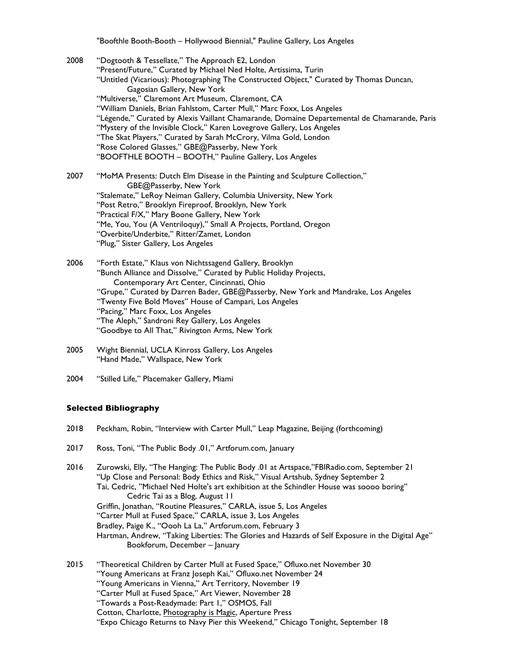"Boofthle Booth-Booth – Hollywood Biennial," Pauline Gallery, Los Angeles

| 2008 | "Dogtooth & Tessellate," The Approach E2, London<br>"Present/Future," Curated by Michael Ned Holte, Artissima, Turin<br>"Untitled (Vicarious): Photographing The Constructed Object," Curated by Thomas Duncan,<br>Gagosian Gallery, New York<br>"Multiverse," Claremont Art Museum, Claremont, CA<br>"William Daniels, Brian Fahlstom, Carter Mull," Marc Foxx, Los Angeles<br>"Légende," Curated by Alexis Vaillant Chamarande, Domaine Departemental de Chamarande, Paris<br>"Mystery of the Invisible Clock," Karen Lovegrove Gallery, Los Angeles<br>"The Skat Players," Curated by Sarah McCrory, Vilma Gold, London<br>"Rose Colored Glasses," GBE@Passerby, New York<br>"BOOFTHLE BOOTH - BOOTH," Pauline Gallery, Los Angeles |
|------|----------------------------------------------------------------------------------------------------------------------------------------------------------------------------------------------------------------------------------------------------------------------------------------------------------------------------------------------------------------------------------------------------------------------------------------------------------------------------------------------------------------------------------------------------------------------------------------------------------------------------------------------------------------------------------------------------------------------------------------|
| 2007 | "MoMA Presents: Dutch Elm Disease in the Painting and Sculpture Collection,"<br>GBE@Passerby, New York<br>"Stalemate," LeRoy Neiman Gallery, Columbia University, New York<br>"Post Retro," Brooklyn Fireproof, Brooklyn, New York<br>"Practical F/X," Mary Boone Gallery, New York<br>"Me, You, You (A Ventriloquy)," Small A Projects, Portland, Oregon<br>"Overbite/Underbite," Ritter/Zamet, London<br>"Plug," Sister Gallery, Los Angeles                                                                                                                                                                                                                                                                                         |
| 2006 | "Forth Estate," Klaus von Nichtssagend Gallery, Brooklyn<br>"Bunch Alliance and Dissolve," Curated by Public Holiday Projects,<br>Contemporary Art Center, Cincinnati, Ohio<br>"Grupe," Curated by Darren Bader, GBE@Passerby, New York and Mandrake, Los Angeles<br>"Twenty Five Bold Moves" House of Campari, Los Angeles<br>"Pacing," Marc Foxx, Los Angeles<br>"The Aleph," Sandroni Rey Gallery, Los Angeles<br>"Goodbye to All That," Rivington Arms, New York                                                                                                                                                                                                                                                                   |
| 2005 | Wight Biennial, UCLA Kinross Gallery, Los Angeles<br>"Hand Made," Wallspace, New York                                                                                                                                                                                                                                                                                                                                                                                                                                                                                                                                                                                                                                                  |
| 2004 | "Stilled Life," Placemaker Gallery, Miami                                                                                                                                                                                                                                                                                                                                                                                                                                                                                                                                                                                                                                                                                              |

## **Selected Bibliography**

- 2018 Peckham, Robin, "Interview with Carter Mull," Leap Magazine, Beijing (forthcoming)
- 2017 Ross, Toni, "The Public Body .01," Artforum.com, January
- 2016 Zurowski, Elly, "The Hanging: The Public Body .01 at Artspace,"FBIRadio.com, September 21 "Up Close and Personal: Body Ethics and Risk," Visual Artshub, Sydney September 2 Tai, Cedric, "Michael Ned Holte's art exhibition at the Schindler House was soooo boring" Cedric Tai as a Blog, August 11 Griffin, Jonathan, "Routine Pleasures," CARLA, issue 5, Los Angeles "Carter Mull at Fused Space," CARLA, issue 3, Los Angeles Bradley, Paige K., "Oooh La La," Artforum.com, February 3 Hartman, Andrew, "Taking Liberties: The Glories and Hazards of Self Exposure in the Digital Age" Bookforum, December – January 2015 "Theoretical Children by Carter Mull at Fused Space," Ofluxo.net November 30 "Young Americans at Franz Joseph Kai," Ofluxo.net November 24 "Young Americans in Vienna," Art Territory, November 19 "Carter Mull at Fused Space," Art Viewer, November 28
	- "Towards a Post-Readymade: Part 1," OSMOS, Fall
	- Cotton, Charlotte, Photography is Magic, Aperture Press
	- "Expo Chicago Returns to Navy Pier this Weekend," Chicago Tonight, September 18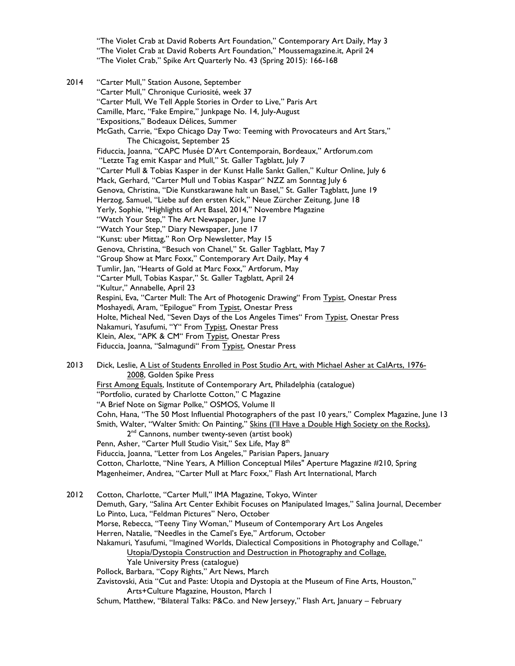"The Violet Crab at David Roberts Art Foundation," Contemporary Art Daily, May 3 "The Violet Crab at David Roberts Art Foundation," Moussemagazine.it, April 24 "The Violet Crab," Spike Art Quarterly No. 43 (Spring 2015): 166-168

2014 "Carter Mull," Station Ausone, September "Carter Mull," Chronique Curiosité, week 37 "Carter Mull, We Tell Apple Stories in Order to Live," Paris Art Camille, Marc, "Fake Empire," Junkpage No. 14, July-August "Expositions," Bodeaux Délices, Summer McGath, Carrie, "Expo Chicago Day Two: Teeming with Provocateurs and Art Stars," The Chicagoist, September 25 Fiduccia, Joanna, "CAPC Musée D'Art Contemporain, Bordeaux," Artforum.com "Letzte Tag emit Kaspar and Mull," St. Galler Tagblatt, July 7 "Carter Mull & Tobias Kasper in der Kunst Halle Sankt Gallen," Kultur Online, July 6 Mack, Gerhard, "Carter Mull und Tobias Kaspar" NZZ am Sonntag July 6 Genova, Christina, "Die Kunstkarawane halt un Basel," St. Galler Tagblatt, June 19 Herzog, Samuel, "Liebe auf den ersten Kick," Neue Zürcher Zeitung, June 18 Yerly, Sophie, "Highlights of Art Basel, 2014," Novembre Magazine "Watch Your Step," The Art Newspaper, June 17 "Watch Your Step," Diary Newspaper, June 17 "Kunst: uber Mittag," Ron Orp Newsletter, May 15 Genova, Christina, "Besuch von Chanel," St. Galler Tagblatt, May 7 "Group Show at Marc Foxx," Contemporary Art Daily, May 4 Tumlir, Jan, "Hearts of Gold at Marc Foxx," Artforum, May "Carter Mull, Tobias Kaspar," St. Galler Tagblatt, April 24 "Kultur," Annabelle, April 23 Respini, Eva, "Carter Mull: The Art of Photogenic Drawing" From Typist, Onestar Press Moshayedi, Aram, "Epilogue" From Typist, Onestar Press Holte, Micheal Ned, "Seven Days of the Los Angeles Times" From Typist, Onestar Press Nakamuri, Yasufumi, "Y" From Typist, Onestar Press Klein, Alex, "APK & CM" From Typist, Onestar Press Fiduccia, Joanna, "Salmagundi" From Typist, Onestar Press 2013 Dick, Leslie, A List of Students Enrolled in Post Studio Art, with Michael Asher at CalArts, 1976-2008, Golden Spike Press First Among Equals, Institute of Contemporary Art, Philadelphia (catalogue) "Portfolio, curated by Charlotte Cotton," C Magazine "A Brief Note on Sigmar Polke," OSMOS, Volume II Cohn, Hana, "The 50 Most Influential Photographers of the past 10 years," Complex Magazine, June 13 Smith, Walter, "Walter Smith: On Painting," Skins (I'll Have a Double High Society on the Rocks), 2<sup>nd</sup> Cannons, number twenty-seven (artist book) Penn, Asher, "Carter Mull Studio Visit," Sex Life, May 8<sup>th</sup> Fiduccia, Joanna, "Letter from Los Angeles," Parisian Papers, January Cotton, Charlotte, "Nine Years, A Million Conceptual Miles" Aperture Magazine #210, Spring Magenheimer, Andrea, "Carter Mull at Marc Foxx," Flash Art International, March 2012 Cotton, Charlotte, "Carter Mull," IMA Magazine, Tokyo, Winter

Demuth, Gary, "Salina Art Center Exhibit Focuses on Manipulated Images," Salina Journal, December Lo Pinto, Luca, "Feldman Pictures" Nero, October Morse, Rebecca, "Teeny Tiny Woman," Museum of Contemporary Art Los Angeles Herren, Natalie, "Needles in the Camel's Eye," Artforum, October Nakamuri, Yasufumi, "Imagined Worlds, Dialectical Compositions in Photography and Collage," Utopia/Dystopia Construction and Destruction in Photography and Collage, Yale University Press (catalogue) Pollock, Barbara, "Copy Rights," Art News, March Zavistovski, Atia "Cut and Paste: Utopia and Dystopia at the Museum of Fine Arts, Houston," Arts+Culture Magazine, Houston, March 1

Schum, Matthew, "Bilateral Talks: P&Co. and New Jerseyy," Flash Art, January – February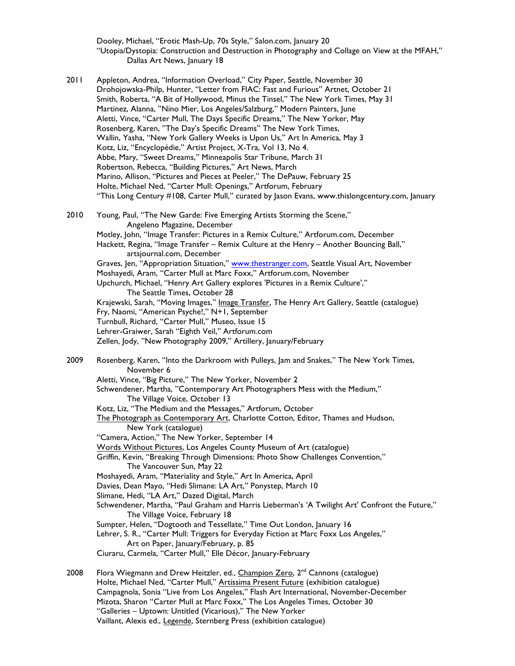Dooley, Michael, "Erotic Mash-Up, 70s Style," Salon.com, January 20 "Utopia/Dystopia: Construction and Destruction in Photography and Collage on View at the MFAH," Dallas Art News, January 18

2011 Appleton, Andrea, "Information Overload," City Paper, Seattle, November 30 Drohojowska-Philp, Hunter, "Letter from FIAC: Fast and Furious" Artnet, October 21 Smith, Roberta, "A Bit of Hollywood, Minus the Tinsel," The New York Times, May 31 Martinez, Alanna, "Nino Mier, Los Angeles/Salzburg," Modern Painters, June Aletti, Vince, "Carter Mull, The Days Specific Dreams," The New Yorker, May Rosenberg, Karen, "The Day's Specific Dreams" The New York Times, Wallin, Yasha, "New York Gallery Weeks is Upon Us," Art In America, May 3 Kotz, Liz, "Encyclopédie," Artist Project, X-Tra, Vol 13, No 4. Abbe, Mary, "Sweet Dreams," Minneapolis Star Tribune, March 31 Robertson, Rebecca, "Building Pictures," Art News, March Marino, Allison, "Pictures and Pieces at Peeler," The DePauw, February 25 Holte, Michael Ned, "Carter Mull: Openings," Artforum, February "This Long Century #108, Carter Mull," curated by Jason Evans, www.thislongcentury.com, January 2010 Young, Paul, "The New Garde: Five Emerging Artists Storming the Scene," Angeleno Magazine, December Motley, John, "Image Transfer: Pictures in a Remix Culture," Artforum.com, December Hackett, Regina, "Image Transfer - Remix Culture at the Henry - Another Bouncing Ball," artsjournal.com, December Graves, Jen, "Appropriation Situation," www.thestranger.com, Seattle Visual Art, November Moshayedi, Aram, "Carter Mull at Marc Foxx," Artforum.com, November Upchurch, Michael, "Henry Art Gallery explores 'Pictures in a Remix Culture'," The Seattle Times, October 28 Krajewski, Sarah, "Moving Images," Image Transfer, The Henry Art Gallery, Seattle (catalogue) Fry, Naomi, "American Psyche!," N+1, September Turnbull, Richard, "Carter Mull," Museo, Issue 15 Lehrer-Graiwer, Sarah "Eighth Veil," Artforum.com Zellen, Jody, "New Photography 2009," Artillery, January/February 2009 Rosenberg, Karen, "Into the Darkroom with Pulleys, Jam and Snakes," The New York Times, November 6 Aletti, Vince, "Big Picture," The New Yorker, November 2 Schwendener, Martha, "Contemporary Art Photographers Mess with the Medium," The Village Voice, October 13 Kotz, Liz, "The Medium and the Messages," Artforum, October The Photograph as Contemporary Art, Charlotte Cotton, Editor, Thames and Hudson, New York (catalogue) "Camera, Action," The New Yorker, September 14 Words Without Pictures, Los Angeles County Museum of Art (catalogue) Griffin, Kevin, "Breaking Through Dimensions: Photo Show Challenges Convention," The Vancouver Sun, May 22 Moshayedi, Aram, "Materiality and Style," Art In America, April Davies, Dean Mayo, "Hedi Slimane: LA Art," Ponystep, March 10 Slimane, Hedi, "LA Art," Dazed Digital, March Schwendener, Martha, "Paul Graham and Harris Lieberman's 'A Twilight Art' Confront the Future," The Village Voice, February 18 Sumpter, Helen, "Dogtooth and Tessellate," Time Out London, January 16 Lehrer, S. R., "Carter Mull: Triggers for Everyday Fiction at Marc Foxx Los Angeles," Art on Paper, January/February, p. 85 Ciuraru, Carmela, "Carter Mull," Elle Décor, January-February

2008 Flora Wiegmann and Drew Heitzler, ed., Champion Zero,  $2^{nd}$  Cannons (catalogue) Holte, Michael Ned, "Carter Mull," Artissima Present Future (exhibition catalogue) Campagnola, Sonia "Live from Los Angeles," Flash Art International, November-December Mizota, Sharon "Carter Mull at Marc Foxx," The Los Angeles Times, October 30 "Galleries – Uptown: Untitled (Vicarious)," The New Yorker Vaillant, Alexis ed., Legende, Sternberg Press (exhibition catalogue)